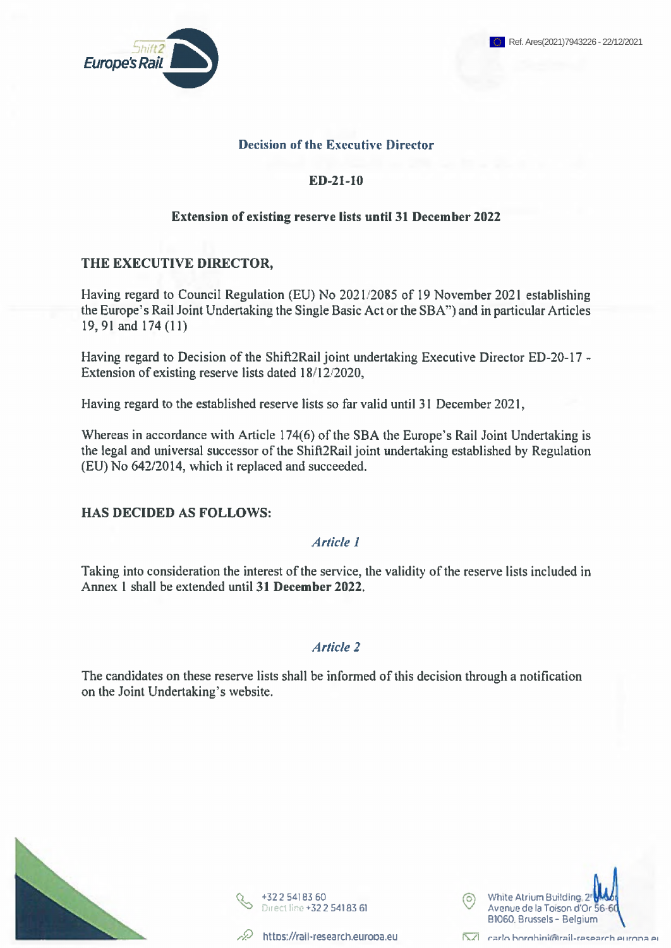# **Decision of the Executive Director**

# **ED-21-10**

# **Extension of existing reserve lists until 31 December 2022**

# **THE EXECUTIVE DIRECTOR,**

Having regard to Council Regulation (EU) No 2021/2085 of 19 November 2021 establishing the Europe's Rail Joint Undertaking the Single Basic Act or the SBA") and in particular Articles 19,91 and 174(11)

Having regard to Decision of the Shift2Rail joint undertaking Executive Director ED-20-17 -Extension of existing reserve lists dated 18/12/2020,

Having regard to the established reserve lists so far valid until 31 December 2021,

Whereas in accordance with Article 174(6) of the SBA the Europe's Rail Joint Undertaking is the legal and universal successor of the Shift2Rail joint undertaking established by Regulation (EU) No 642/2014, which it replaced and succeeded.

### **HAS DECIDED AS FOLLOWS:**

# *Article 1*

Taking into consideration the interest of the service, the validity of the reserve lists included in Annex <sup>1</sup> shall be extended until **31 December 2022.**

### *Article 2*

The candidates on these reserve lists shall be informed of this decision through a notification on the Joint Undertaking's website.









#### **Г\/1 rartn hnrnhinifnirail-rocoarrh pi irnna pi**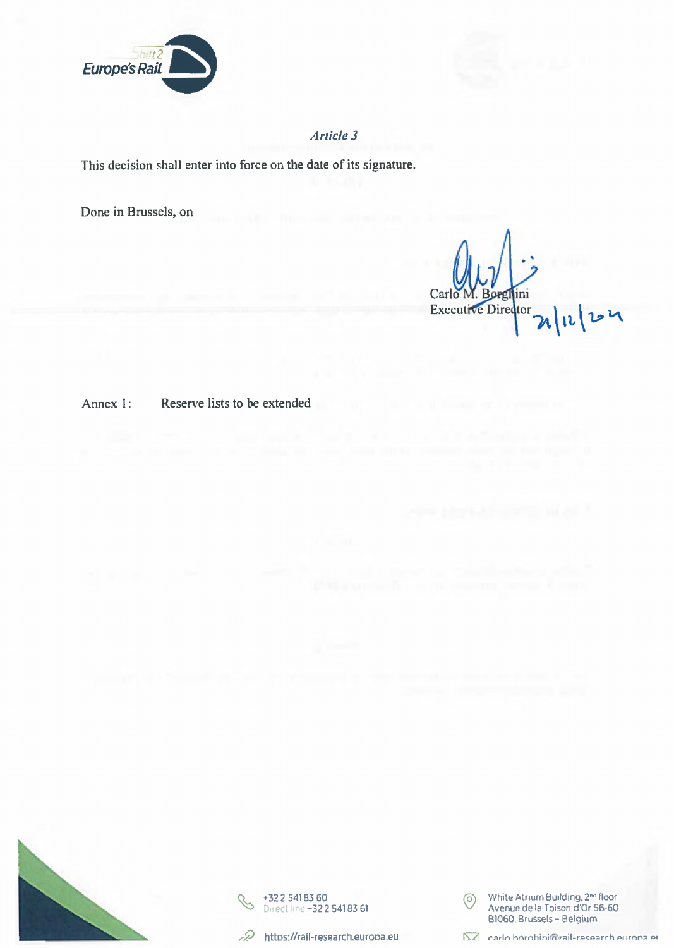

# Article 3

This decision shall enter into force on the date of its signature.

Done in Brussels, on

Carlo lini **Executive Director**  $\overline{\phantom{a}}$ 

Reserve lists to be extended Annex 1:







White Atrium Building, 2<sup>nd</sup> floor  $\circ$ Avenue de la Toison d'Or 56-60<br>B1060, Brussels - Belgium

NZ carlo borobini@rail-research europa et